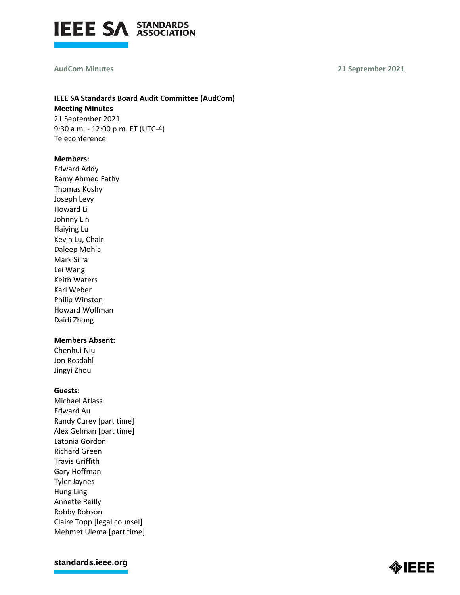

#### **AudCom Minutes**

**21 September 2021**

# **IEEE SA Standards Board Audit Committee (AudCom) Meeting Minutes** 21 September 2021 9:30 a.m. - 12:00 p.m. ET (UTC-4)

Teleconference

### **Members:**

Edward Addy Ramy Ahmed Fathy Thomas Koshy Joseph Levy Howard Li Johnny Lin Haiying Lu Kevin Lu, Chair Daleep Mohla Mark Siira Lei Wang Keith Waters Karl Weber Philip Winston Howard Wolfman Daidi Zhong

# **Members Absent:**

Chenhui Niu Jon Rosdahl Jingyi Zhou

### **Guests:**

Michael Atlass Edward Au Randy Curey [part time] Alex Gelman [part time] Latonia Gordon Richard Green Travis Griffith Gary Hoffman Tyler Jaynes Hung Ling Annette Reilly Robby Robson Claire Topp [legal counsel] Mehmet Ulema [part time]

**[standards.ieee.org](http://standards.ieee.org/)**

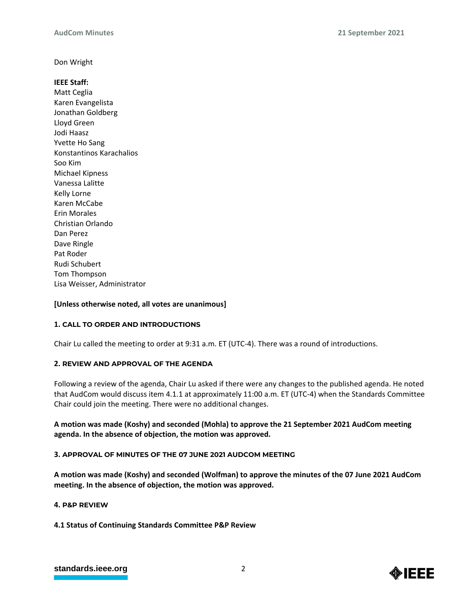Don Wright

# **IEEE Staff:**

Matt Ceglia Karen Evangelista Jonathan Goldberg Lloyd Green Jodi Haasz Yvette Ho Sang Konstantinos Karachalios Soo Kim Michael Kipness Vanessa Lalitte Kelly Lorne Karen McCabe Erin Morales Christian Orlando Dan Perez Dave Ringle Pat Roder Rudi Schubert Tom Thompson Lisa Weisser, Administrator

# **[Unless otherwise noted, all votes are unanimous]**

# **1. CALL TO ORDER AND INTRODUCTIONS**

Chair Lu called the meeting to order at 9:31 a.m. ET (UTC-4). There was a round of introductions.

# **2. REVIEW AND APPROVAL OF THE AGENDA**

Following a review of the agenda, Chair Lu asked if there were any changes to the published agenda. He noted that AudCom would discuss item 4.1.1 at approximately 11:00 a.m. ET (UTC-4) when the Standards Committee Chair could join the meeting. There were no additional changes.

# **A motion was made (Koshy) and seconded (Mohla) to approve the 21 September 2021 AudCom meeting agenda. In the absence of objection, the motion was approved.**

# **3. APPROVAL OF MINUTES OF THE 07 JUNE 2021 AUDCOM MEETING**

**A motion was made (Koshy) and seconded (Wolfman) to approve the minutes of the 07 June 2021 AudCom meeting. In the absence of objection, the motion was approved.**

# **4. P&P REVIEW**

**4.1 Status of Continuing Standards Committee P&P Review**

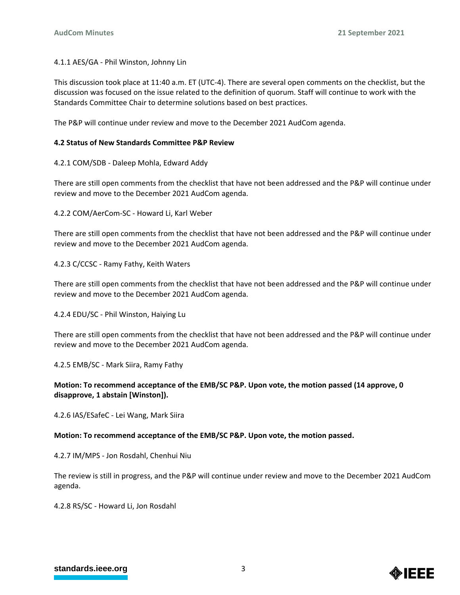4.1.1 AES/GA - Phil Winston, Johnny Lin

This discussion took place at 11:40 a.m. ET (UTC-4). There are several open comments on the checklist, but the discussion was focused on the issue related to the definition of quorum. Staff will continue to work with the Standards Committee Chair to determine solutions based on best practices.

The P&P will continue under review and move to the December 2021 AudCom agenda.

# **4.2 Status of New Standards Committee P&P Review**

4.2.1 COM/SDB - Daleep Mohla, Edward Addy

There are still open comments from the checklist that have not been addressed and the P&P will continue under review and move to the December 2021 AudCom agenda.

4.2.2 COM/AerCom-SC - Howard Li, Karl Weber

There are still open comments from the checklist that have not been addressed and the P&P will continue under review and move to the December 2021 AudCom agenda.

4.2.3 C/CCSC - Ramy Fathy, Keith Waters

There are still open comments from the checklist that have not been addressed and the P&P will continue under review and move to the December 2021 AudCom agenda.

4.2.4 EDU/SC - Phil Winston, Haiying Lu

There are still open comments from the checklist that have not been addressed and the P&P will continue under review and move to the December 2021 AudCom agenda.

4.2.5 EMB/SC - Mark Siira, Ramy Fathy

# **Motion: To recommend acceptance of the EMB/SC P&P. Upon vote, the motion passed (14 approve, 0 disapprove, 1 abstain [Winston]).**

4.2.6 IAS/ESafeC - Lei Wang, Mark Siira

# **Motion: To recommend acceptance of the EMB/SC P&P. Upon vote, the motion passed.**

4.2.7 IM/MPS - Jon Rosdahl, Chenhui Niu

The review is still in progress, and the P&P will continue under review and move to the December 2021 AudCom agenda.

4.2.8 RS/SC - Howard Li, Jon Rosdahl

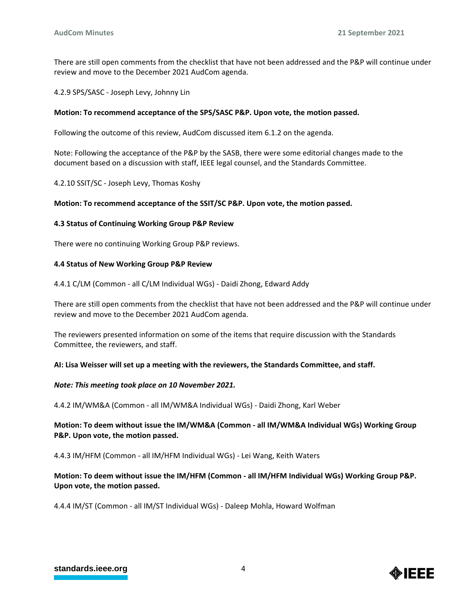There are still open comments from the checklist that have not been addressed and the P&P will continue under review and move to the December 2021 AudCom agenda.

4.2.9 SPS/SASC - Joseph Levy, Johnny Lin

### **Motion: To recommend acceptance of the SPS/SASC P&P. Upon vote, the motion passed.**

Following the outcome of this review, AudCom discussed item 6.1.2 on the agenda.

Note: Following the acceptance of the P&P by the SASB, there were some editorial changes made to the document based on a discussion with staff, IEEE legal counsel, and the Standards Committee.

4.2.10 SSIT/SC - Joseph Levy, Thomas Koshy

### **Motion: To recommend acceptance of the SSIT/SC P&P. Upon vote, the motion passed.**

### **4.3 Status of Continuing Working Group P&P Review**

There were no continuing Working Group P&P reviews.

### **4.4 Status of New Working Group P&P Review**

4.4.1 C/LM (Common - all C/LM Individual WGs) - Daidi Zhong, Edward Addy

There are still open comments from the checklist that have not been addressed and the P&P will continue under review and move to the December 2021 AudCom agenda.

The reviewers presented information on some of the items that require discussion with the Standards Committee, the reviewers, and staff.

### **AI: Lisa Weisser will set up a meeting with the reviewers, the Standards Committee, and staff.**

### *Note: This meeting took place on 10 November 2021.*

4.4.2 IM/WM&A (Common - all IM/WM&A Individual WGs) - Daidi Zhong, Karl Weber

# **Motion: To deem without issue the IM/WM&A (Common - all IM/WM&A Individual WGs) Working Group P&P. Upon vote, the motion passed.**

4.4.3 IM/HFM (Common - all IM/HFM Individual WGs) - Lei Wang, Keith Waters

# **Motion: To deem without issue the IM/HFM (Common - all IM/HFM Individual WGs) Working Group P&P. Upon vote, the motion passed.**

4.4.4 IM/ST (Common - all IM/ST Individual WGs) - Daleep Mohla, Howard Wolfman

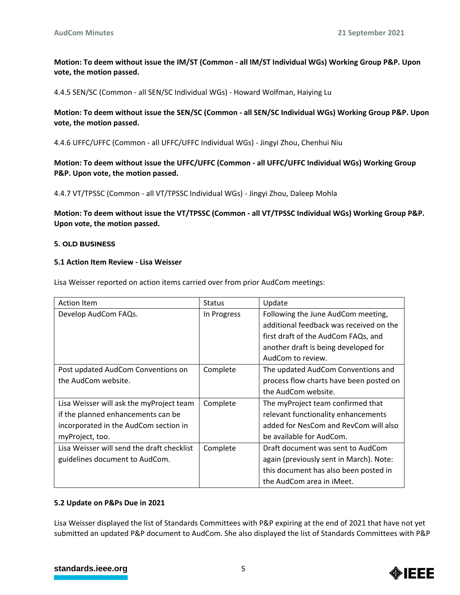**Motion: To deem without issue the IM/ST (Common - all IM/ST Individual WGs) Working Group P&P. Upon vote, the motion passed.**

4.4.5 SEN/SC (Common - all SEN/SC Individual WGs) - Howard Wolfman, Haiying Lu

**Motion: To deem without issue the SEN/SC (Common - all SEN/SC Individual WGs) Working Group P&P. Upon vote, the motion passed.**

4.4.6 UFFC/UFFC (Common - all UFFC/UFFC Individual WGs) - Jingyi Zhou, Chenhui Niu

**Motion: To deem without issue the UFFC/UFFC (Common - all UFFC/UFFC Individual WGs) Working Group P&P. Upon vote, the motion passed.**

4.4.7 VT/TPSSC (Common - all VT/TPSSC Individual WGs) - Jingyi Zhou, Daleep Mohla

**Motion: To deem without issue the VT/TPSSC (Common - all VT/TPSSC Individual WGs) Working Group P&P. Upon vote, the motion passed.**

### **5. OLD BUSINESS**

### **5.1 Action Item Review - Lisa Weisser**

Lisa Weisser reported on action items carried over from prior AudCom meetings:

| <b>Action Item</b>                         | <b>Status</b> | Update                                  |
|--------------------------------------------|---------------|-----------------------------------------|
| Develop AudCom FAQs.                       | In Progress   | Following the June AudCom meeting,      |
|                                            |               | additional feedback was received on the |
|                                            |               | first draft of the AudCom FAQs, and     |
|                                            |               | another draft is being developed for    |
|                                            |               | AudCom to review.                       |
| Post updated AudCom Conventions on         | Complete      | The updated AudCom Conventions and      |
| the AudCom website.                        |               | process flow charts have been posted on |
|                                            |               | the AudCom website.                     |
| Lisa Weisser will ask the myProject team   | Complete      | The myProject team confirmed that       |
| if the planned enhancements can be         |               | relevant functionality enhancements     |
| incorporated in the AudCom section in      |               | added for NesCom and RevCom will also   |
| myProject, too.                            |               | be available for AudCom.                |
| Lisa Weisser will send the draft checklist | Complete      | Draft document was sent to AudCom       |
| guidelines document to AudCom.             |               | again (previously sent in March). Note: |
|                                            |               | this document has also been posted in   |
|                                            |               | the AudCom area in iMeet.               |

### **5.2 Update on P&Ps Due in 2021**

Lisa Weisser displayed the list of Standards Committees with P&P expiring at the end of 2021 that have not yet submitted an updated P&P document to AudCom. She also displayed the list of Standards Committees with P&P